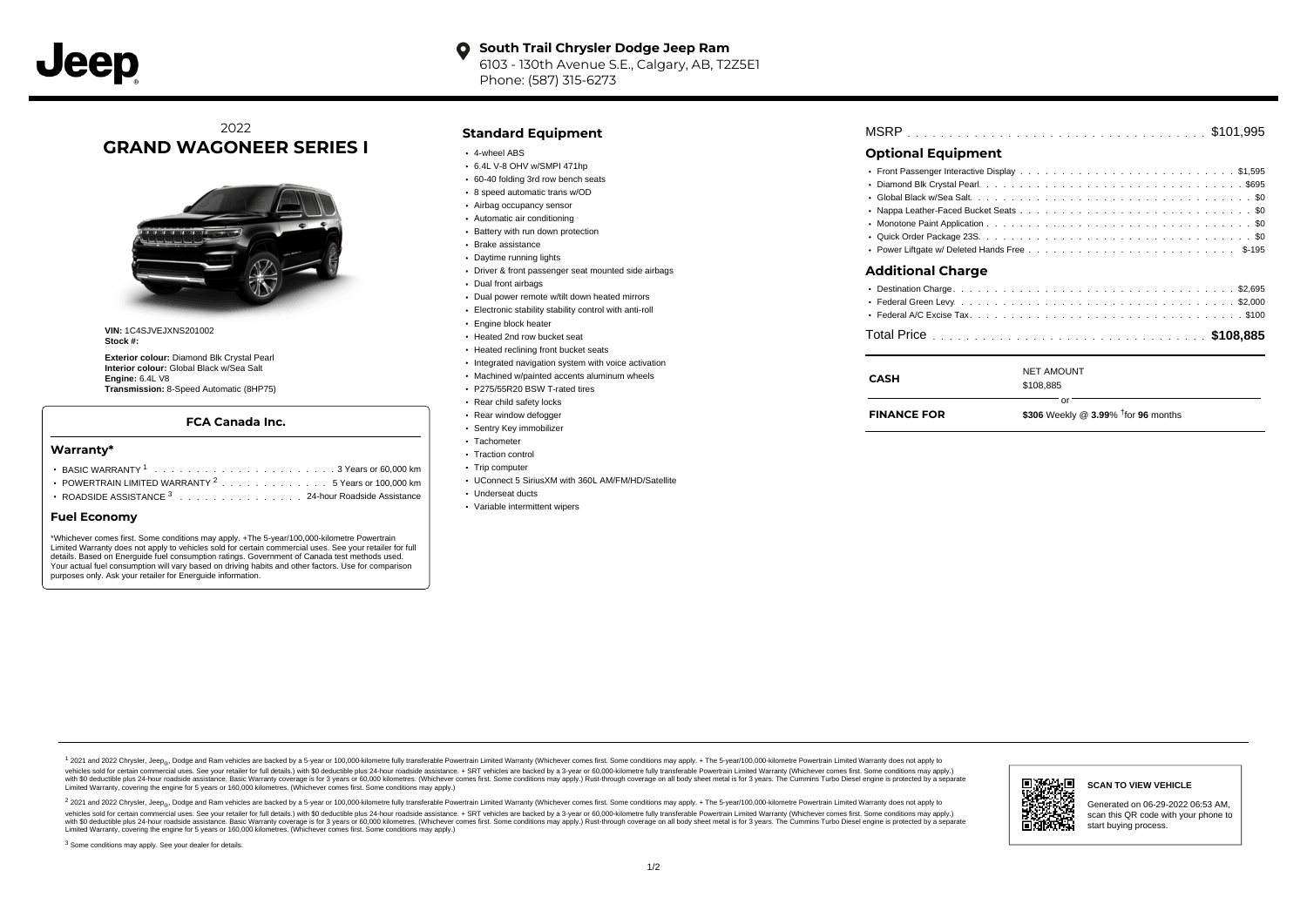#### **South Trail Chrysler Dodge Jeep Ram**  $\bullet$ 6103 - 130th Avenue S.E., Calgary, AB, T2Z5E1 Phone: (587) 315-6273

# 2022 **GRAND WAGONEER SERIES I**



**VIN:** 1C4SJVEJXNS201002 **Stock #:**

**Exterior colour:** Diamond Blk Crystal Pearl **Interior colour:** Global Black w/Sea Salt **Engine:** 6.4L V8 **Transmission:** 8-Speed Automatic (8HP75)

### **FCA Canada Inc.**

#### **Warranty\***

- . . . . . . . . . . . . . . . . . . . . . . . . . . . . . . . . . . . . . . . . . . . BASIC WARRANTY <sup>1</sup> 3 Years or 60,000 km POWERTRAIN LIMITED WARRANTY  $2 \ldots \ldots \ldots \ldots \ldots 5$  Years or 100,000 km
- ROADSIDE ASSISTANCE 3 . . . . . . . . . . . . . . . 24-hour Roadside Assistance

#### **Fuel Economy**

\*Whichever comes first. Some conditions may apply. +The 5-year/100,000-kilometre Powertrain Limited Warranty does not apply to vehicles sold for certain commercial uses. See your retailer for full details. Based on Energuide fuel consumption ratings. Government of Canada test methods used. Your actual fuel consumption will vary based on driving habits and other factors. Use for comparison purposes only. Ask your retailer for Energuide information.

### **Standard Equipment**

- 4-wheel ABS
- 6.4L V-8 OHV w/SMPI 471hp
- 60-40 folding 3rd row bench seats 8 speed automatic trans w/OD
- Airbag occupancy sensor
- Automatic air conditioning
- Battery with run down protection
- Brake assistance
- Daytime running lights
- Driver & front passenger seat mounted side airbags
- Dual front airbags
- Dual power remote w/tilt down heated mirrors
- Electronic stability stability control with anti-roll
- **Engine block heater**
- Heated 2nd row bucket seat
- Heated reclining front bucket seats
- Integrated navigation system with voice activation
- Machined w/painted accents aluminum wheels
- P275/55R20 BSW T-rated tires
- Rear child safety locks
- Rear window defogger
- Sentry Key immobilizer
- Tachometer
- Traction control
- Trip computer
- UConnect 5 SiriusXM with 360L AM/FM/HD/Satellite
- Underseat ducts
- Variable intermittent wipers

| MSRP |  |  |  |  |  |  |  |  |  |  |  |  |  |  |  |  |  |  |  |  |  |  |  |  |  |  |  |  |  |  |  |  |  |  |  |  |  |  |
|------|--|--|--|--|--|--|--|--|--|--|--|--|--|--|--|--|--|--|--|--|--|--|--|--|--|--|--|--|--|--|--|--|--|--|--|--|--|--|
|------|--|--|--|--|--|--|--|--|--|--|--|--|--|--|--|--|--|--|--|--|--|--|--|--|--|--|--|--|--|--|--|--|--|--|--|--|--|--|

## **Optional Equipment**

| Additional Charge |
|-------------------|
|                   |
|                   |
|                   |

| <b>CASH</b>        | <b>NET AMOUNT</b><br>\$108,885                           |
|--------------------|----------------------------------------------------------|
| <b>FINANCE FOR</b> | nr<br>\$306 Weekly @ $3.99\%$ <sup>†</sup> for 96 months |

1 2021 and 2022 Chrysler, Jeep<sub>en</sub> Dodge and Ram vehicles are backed by a 5-year or 100,000-kilometre fully transferable Powertrain Limited Warranty (Whichever comes first. Some conditions may apply. + The 5-year/100,000-k rebicles sold for certain commercial uses. See your retailer for full details) with S0 deductible plus 24-hour madside assistance. + SRT vehicles are backed by a 3-year or 60.000-kilometre fully transferable Powertrain Lim ventals and contract when the contract when the contract you contract when the contract when the control of the set of a set of a set of a set of 3 years of 60,000 kilometres. Whichever comes first. Some conditions may app Limited Warranty, covering the engine for 5 years or 160,000 kilometres. (Whichever comes first. Some conditions may apply.)

2 2021 and 2022 Chrysler, Jeep<sub>es</sub> Dodge and Ram vehicles are backed by a 5-year or 100,000-kilometre fully transferable Powertrain Limited Warranty (Whichever comes first. Some conditions may apply. + The 5-year/100,000-k vehicles sold for certain commercial uses. See your retailer for full details.) with SO deductible plus 24-hour roadside assistance. + SRT vehicles are backed by a 3-year or 60.000-kilometre fully transferable Powertrain L with S0 deductible plus 24-hour roadside assistance. Basic Warranty coverage is for 3 years or 60,000 kilometres. (Whichever comes first. Some conditions may apply.) Rust-through coverage on all body sheet metal is for 3 y



**SCAN TO VIEW VEHICLE**

Generated on 06-29-2022 06:53 AM, scan this QR code with your phone to start buying process.

<sup>3</sup> Some conditions may apply. See your dealer for details.